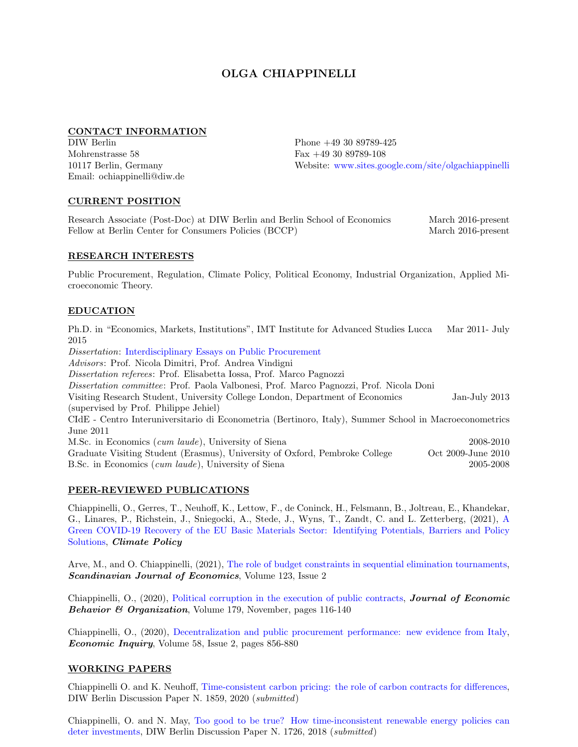# OLGA CHIAPPINELLI

#### CONTACT INFORMATION

DIW Berlin Mohrenstrasse 58 10117 Berlin, Germany Email: ochiappinelli@diw.de Phone +49 30 89789-425 Fax +49 30 89789-108 Website: [www.sites.google.com/site/olgachiappinelli](https://sites.google.com/site/olgachiappinelli/)

#### CURRENT POSITION

Research Associate (Post-Doc) at DIW Berlin and Berlin School of Economics March 2016-present Fellow at Berlin Center for Consumers Policies (BCCP) March 2016-present

#### RESEARCH INTERESTS

Public Procurement, Regulation, Climate Policy, Political Economy, Industrial Organization, Applied Microeconomic Theory.

# EDUCATION

Ph.D. in "Economics, Markets, Institutions", IMT Institute for Advanced Studies Lucca Mar 2011- July 2015

Dissertation: [Interdisciplinary Essays on Public Procurement](http://e-theses.imtlucca.it/167/) Advisors: Prof. Nicola Dimitri, Prof. Andrea Vindigni Dissertation referees: Prof. Elisabetta Iossa, Prof. Marco Pagnozzi Dissertation committee: Prof. Paola Valbonesi, Prof. Marco Pagnozzi, Prof. Nicola Doni Visiting Research Student, University College London, Department of Economics Jan-July 2013 (supervised by Prof. Philippe Jehiel) CIdE - Centro Interuniversitario di Econometria (Bertinoro, Italy), Summer School in Macroeconometrics June 2011 M.Sc. in Economics (cum laude), University of Siena 2008-2010 Graduate Visiting Student (Erasmus), University of Oxford, Pembroke College Oct 2009-June 2010 B.Sc. in Economics (cum laude), University of Siena 2005-2008

# PEER-REVIEWED PUBLICATIONS

Chiappinelli, O., Gerres, T., Neuhoff, K., Lettow, F., de Coninck, H., Felsmann, B., Joltreau, E., Khandekar, G., Linares, P., Richstein, J., Sniegocki, A., Stede, J., Wyns, T., Zandt, C. and L. Zetterberg, (2021), [A](https://www.tandfonline.com/doi/full/10.1080/14693062.2021.1922340) [Green COVID-19 Recovery of the EU Basic Materials Sector: Identifying Potentials, Barriers and Policy](https://www.tandfonline.com/doi/full/10.1080/14693062.2021.1922340) [Solutions,](https://www.tandfonline.com/doi/full/10.1080/14693062.2021.1922340) Climate Policy

Arve, M., and O. Chiappinelli, (2021), [The role of budget constraints in sequential elimination tournaments,](https://onlinelibrary.wiley.com/doi/10.1111/sjoe.12440?af=R) Scandinavian Journal of Economics, Volume 123, Issue 2

Chiappinelli, O., (2020), [Political corruption in the execution of public contracts,](https://www.sciencedirect.com/science/article/abs/pii/S0167268120303231?dgcid=author#aep-article-footnote-id1) Journal of Economic Behavior & Organization, Volume 179, November, pages 116-140

Chiappinelli, O., (2020), [Decentralization and public procurement performance: new evidence from Italy,](https://doi.org/10.1111/ecin.12871) Economic Inquiry, Volume 58, Issue 2, pages 856-880

#### WORKING PAPERS

Chiappinelli O. and K. Neuhoff, [Time-consistent carbon pricing: the role of carbon contracts for differences,](https://www.diw.de/documents/publikationen/73/diw_01.c.758532.de/dp1859.pdf) DIW Berlin Discussion Paper N. 1859, 2020 (submitted)

Chiappinelli, O. and N. May, [Too good to be true? How time-inconsistent renewable energy policies can](http://www.diw.de/sixcms/detail.php?id=diw_01.c.580402.de) [deter investments,](http://www.diw.de/sixcms/detail.php?id=diw_01.c.580402.de) DIW Berlin Discussion Paper N. 1726, 2018 (submitted)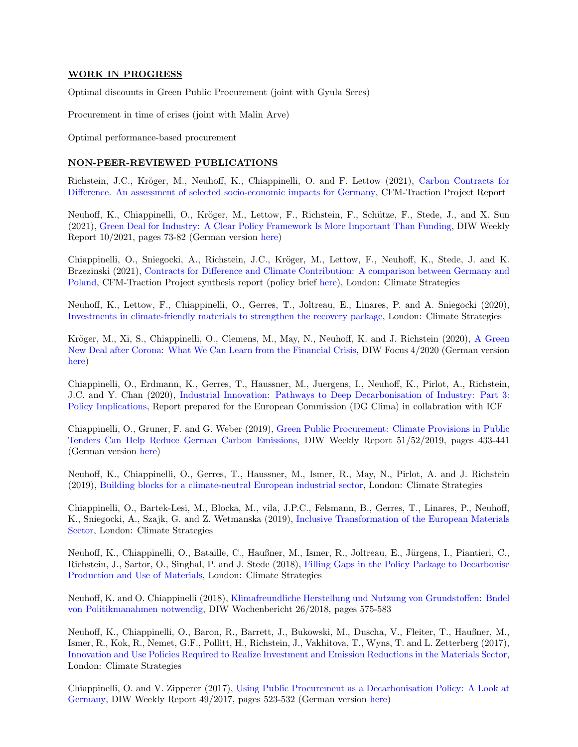#### WORK IN PROGRESS

Optimal discounts in Green Public Procurement (joint with Gyula Seres)

Procurement in time of crises (joint with Malin Arve)

Optimal performance-based procurement

#### NON-PEER-REVIEWED PUBLICATIONS

Richstein, J.C., Kröger, M., Neuhoff, K., Chiappinelli, O. and F. Lettow (2021), [Carbon Contracts for](https://climatestrategies.org/wp-content/uploads/2021/04/CFM-Traction-Germany_FINAL.pdf) [Difference. An assessment of selected socio-economic impacts for Germany,](https://climatestrategies.org/wp-content/uploads/2021/04/CFM-Traction-Germany_FINAL.pdf) CFM-Traction Project Report

Neuhoff, K., Chiappinelli, O., Kröger, M., Lettow, F., Richstein, F., Schütze, F., Stede, J., and X. Sun (2021), [Green Deal for Industry: A Clear Policy Framework Is More Important Than Funding,](https://www.diw.de/de/diw_01.c.813291.de/publikationen/weekly_reports/2021_10_1/green_deal_for_industry__a_clear_policy_framework_is_more_important_than_funding.html) DIW Weekly Report 10/2021, pages 73-82 (German version [here\)](https://www.diw.de/de/diw_01.c.812864.de/publikationen/wochenberichte/2021_10_1/green_deal_fuer_die_industrie__wichtiger_als__foerderung_sind_klare_rahmenbedingungen.html)

Chiappinelli, O., Sniegocki, A., Richstein, J.C., Kröger, M., Lettow, F., Neuhoff, K., Stede, J. and K. Brzezinski (2021), [Contracts for Difference and Climate Contribution: A comparison between Germany and](https://climatestrategies.org/publication/contracts-for-difference-and-climate-contribution-a-comparison-between-germany-and-poland-synthesis-report/) [Poland,](https://climatestrategies.org/publication/contracts-for-difference-and-climate-contribution-a-comparison-between-germany-and-poland-synthesis-report/) CFM-Traction Project synthesis report (policy brief [here\)](https://climatestrategies.org/publication/unlocking-transition-to-climate-friendly-material-sector-in-europe-with-carbon-contracts-for-difference-and-climate-contribution/), London: Climate Strategies

Neuhoff, K., Lettow, F., Chiappinelli, O., Gerres, T., Joltreau, E., Linares, P. and A. Sniegocki (2020), [Investments in climate-friendly materials to strengthen the recovery package,](https://www.diw.de/documents/dokumentenarchiv/17/diw_01.c.792388.de/cfm_recovery_package_report.pdf) London: Climate Strategies

Kröger, M., Xi, S., Chiappinelli, O., Clemens, M., May, N., Neuhoff, K. and J. Richstein (2020), [A Green](https://www.diw.de/de/diw_01.c.788845.de/publikationen/diw_focus/2020_0004/a_green_new_deal_after_corona__what_we_can_learn_from_the_financial_crisis.html) [New Deal after Corona: What We Can Learn from the Financial Crisis,](https://www.diw.de/de/diw_01.c.788845.de/publikationen/diw_focus/2020_0004/a_green_new_deal_after_corona__what_we_can_learn_from_the_financial_crisis.html) DIW Focus 4/2020 (German version [here\)](https://www.diw.de/sixcms/detail.php?id=diw_01.c.786330.de)

Chiappinelli, O., Erdmann, K., Gerres, T., Haussner, M., Juergens, I., Neuhoff, K., Pirlot, A., Richstein, J.C. and Y. Chan (2020), [Industrial Innovation: Pathways to Deep Decarbonisation of Industry: Part 3:](https://ec.europa.eu/clima/sites/clima/files/strategies/2050/docs/industrial_innovation_part_3_en.pdf) [Policy Implications,](https://ec.europa.eu/clima/sites/clima/files/strategies/2050/docs/industrial_innovation_part_3_en.pdf) Report prepared for the European Commission (DG Clima) in collabration with ICF

Chiappinelli, O., Gruner, F. and G. Weber (2019), [Green Public Procurement: Climate Provisions in Public](https://www.diw.de/de/diw_01.c.701241.de/publikationen/weekly_reports/2019_51/green_public_procurement__climate_provisions_in_public_tenders_can_help_reduce_german_carbon_emissions.html) [Tenders Can Help Reduce German Carbon Emissions,](https://www.diw.de/de/diw_01.c.701241.de/publikationen/weekly_reports/2019_51/green_public_procurement__climate_provisions_in_public_tenders_can_help_reduce_german_carbon_emissions.html) DIW Weekly Report 51/52/2019, pages 433-441 (German version [here\)](https://www.diw.de/de/diw_01.c.701196.de/publikationen/wochenberichte/2019_51/klimakriterien_bei_der_vergabe_oeffentlicher_auftraege_koennen_dazu_beitragen__deutsche_treibhausgasemissionen_zu_senken.html)

Neuhoff, K., Chiappinelli, O., Gerres, T., Haussner, M., Ismer, R., May, N., Pirlot, A. and J. Richstein (2019), [Building blocks for a climate-neutral European industrial sector,](https://climatestrategies.org/publication/buildingblocks/) London: Climate Strategies

Chiappinelli, O., Bartek-Lesi, M., Blocka, M., vila, J.P.C., Felsmann, B., Gerres, T., Linares, P., Neuhoff, K., Sniegocki, A., Szajk, G. and Z. Wetmanska (2019), [Inclusive Transformation of the European Materials](https://climatestrategies.org/publication/inclusive-transformation-materials/) [Sector,](https://climatestrategies.org/publication/inclusive-transformation-materials/) London: Climate Strategies

Neuhoff, K., Chiappinelli, O., Bataille, C., Haußner, M., Ismer, R., Joltreau, E., Jürgens, I., Piantieri, C., Richstein, J., Sartor, O., Singhal, P. and J. Stede (2018), [Filling Gaps in the Policy Package to Decarbonise](https://climatestrategies.org/publication/filling-gaps-in-the-policy-package-to-decarbonise-production-and-use-of-materials/) [Production and Use of Materials,](https://climatestrategies.org/publication/filling-gaps-in-the-policy-package-to-decarbonise-production-and-use-of-materials/) London: Climate Strategies

Neuhoff, K. and O. Chiappinelli (2018), [Klimafreundliche Herstellung und Nutzung von Grundstoffen: Bndel](https://www.diw.de/sixcms/detail.php?id=diw_01.c.592954.de) [von Politikmanahmen notwendig,](https://www.diw.de/sixcms/detail.php?id=diw_01.c.592954.de) DIW Wochenbericht 26/2018, pages 575-583

Neuhoff, K., Chiappinelli, O., Baron, R., Barrett, J., Bukowski, M., Duscha, V., Fleiter, T., Haußner, M., Ismer, R., Kok, R., Nemet, G.F., Pollitt, H., Richstein, J., Vakhitova, T., Wyns, T. and L. Zetterberg (2017), [Innovation and Use Policies Required to Realize Investment and Emission Reductions in the Materials Sector,](https://www.diw.de/sixcms/detail.php?id=diw_01.c.551880.de) London: Climate Strategies

Chiappinelli, O. and V. Zipperer (2017), [Using Public Procurement as a Decarbonisation Policy: A Look at](http://www.diw.de/sixcms/detail.php?id=diw_01.c.572809.de) [Germany,](http://www.diw.de/sixcms/detail.php?id=diw_01.c.572809.de) DIW Weekly Report 49/2017, pages 523-532 (German version [here\)](http://www.diw.de/sixcms/detail.php?id=diw_01.c.572669.de)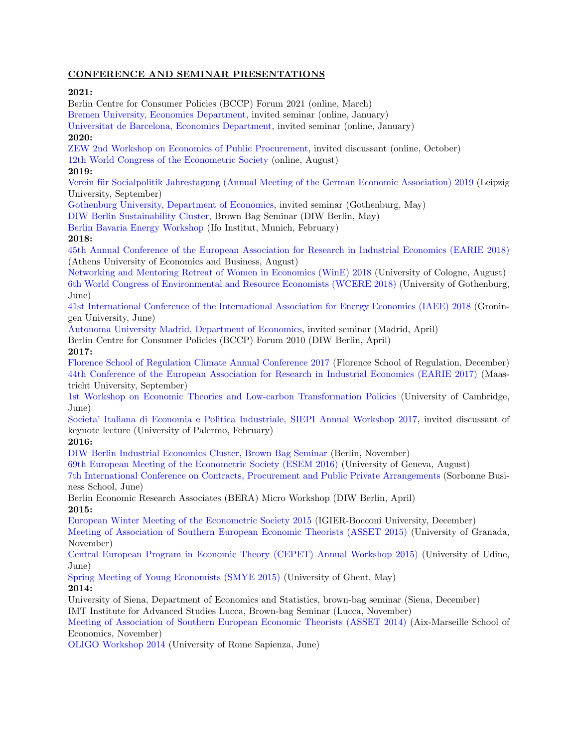# CONFERENCE AND SEMINAR PRESENTATIONS

# 2021:

Berlin Centre for Consumer Policies (BCCP) Forum 2021 (online, March) [Bremen University, Economics Department,](https://www.uni-bremen.de/fileadmin/user_upload/fachbereiche/fb7/cordes/Plakat_WiSe_2020_2021.pdf) invited seminar (online, January) [Universitat de Barcelona, Economics Department,](https://www.ub.edu/school-economics/events/optimal-discounts-in-green-public-procurement/?ri=0) invited seminar (online, January) 2020: [ZEW 2nd Workshop on Economics of Public Procurement,](https://www.zew.de/veranstaltungen-und-weiterbildung/detail/economics-of-public-procurement/3078?cHash=ac81a65332f046739ffdb074b5684663) invited discussant (online, October) [12th World Congress of the Econometric Society](https://editorialexpress.com/conference/ESWC2020/program/ESWC2020.html#129) (online, August) 2019: Verein für Socialpolitik Jahrestagung (Annual Meeting of the German Economic Association) 2019 (Leipzig University, September) [Gothenburg University, Department of Economics,](https://www.gu.se/en/school-business-economics-law/economics/our-research/research-seminars) invited seminar (Gothenburg, May) [DIW Berlin Sustainability Cluster,](https://www.diw.de/sixcms/detail.php?id=diw_01.c.758714.de) Brown Bag Seminar (DIW Berlin, May) [Berlin Bavaria Energy Workshop](http://www.wirtschaftstheorie.wiso.uni-erlangen.de/wp-content/uploads/2019/03/Programm-Bavaria-Berlin-workshop-2019.pdf) (Ifo Institut, Munich, February) 2018: [45th Annual Conference of the European Association for Research in Industrial Economics \(EARIE 2018\)](https://editorialexpress.com/conference/EARIE45/program/EARIE45.html#123) (Athens University of Economics and Business, August) [Networking and Mentoring Retreat of Women in Economics \(WinE\) 2018](https://www.econometricsociety.org/meetings/schedule/2018/08/27/2018-european-summer-meeting) (University of Cologne, August) [6th World Congress of Environmental and Resource Economists \(WCERE 2018\)](http://www.eaere-conferences.org/index.php?p=69) (University of Gothenburg, June) [41st International Conference of the International Association for Energy Economics \(IAEE\) 2018](http://iaee2018.com/) (Groningen University, June) [Autonoma University Madrid, Department of Economics,](https://www.uam.es/Economicas/Seminarios-Investigaci%C3%B3n/1446798717724.htm?language=es&nodepath=Seminarios%20Investigaci?n%20anteriores) invited seminar (Madrid, April) Berlin Centre for Consumer Policies (BCCP) Forum 2010 (DIW Berlin, April) 2017: [Florence School of Regulation Climate Annual Conference 2017](https://fsr.eui.eu/event/fsr-climate-annual-conference-2017/) (Florence School of Regulation, December) [44th Conference of the European Association for Research in Industrial Economics \(EARIE 2017\)](http://earie2017.earie.org/www.earie2017.org/en.html) (Maastricht University, September) [1st Workshop on Economic Theories and Low-carbon Transformation Policies](https://www.diw.de/en/diw_01.c.560126.en/events/1st_workshop_economic_theories_and_low_carbon_transformation_policies.html) (University of Cambridge, June) [Societa' Italiana di Economia e Politica Industriale, SIEPI Annual Workshop 2017,](https://siepi.org/workshop-precedenti-edizioni/) invited discussant of keynote lecture (University of Palermo, February) 2016: [DIW Berlin Industrial Economics Cluster, Brown Bag Seminar](https://www.diw.de/sixcms/detail.php?id=diw_01.c.548142.de) (Berlin, November) [69th European Meeting of the Econometric Society \(ESEM 2016\)](https://www.econometricsociety.org/meetings/schedule/2016/08/22/2016-european-meeting) (University of Geneva, August) [7th International Conference on Contracts, Procurement and Public Private Arrangements](https://www.chaire-eppp.org/event/14-et-15-juin-2016-viith-international-conference-contracts-procurement-and-public-private-arrangements/) (Sorbonne Business School, June) Berlin Economic Research Associates (BERA) Micro Workshop (DIW Berlin, April) 2015: [European Winter Meeting of the Econometric Society 2015](https://editorialexpress.com/conference/EWM2015/program/EWM2015.html#43) (IGIER-Bocconi University, December) [Meeting of Association of Southern European Economic Theorists \(ASSET 2015\)](https://studylib.net/doc/18047813/12-14-november-2015-granada--spain-) (University of Granada, November) [Central European Program in Economic Theory \(CEPET\) Annual Workshop 2015\)](https://sites.google.com/site/cepetweb/past-workshops) (University of Udine, June) [Spring Meeting of Young Economists \(SMYE 2015\)](http://smye2015.weebly.com/schedule.html) (University of Ghent, May)

#### 2014:

University of Siena, Department of Economics and Statistics, brown-bag seminar (Siena, December)

IMT Institute for Advanced Studies Lucca, Brown-bag Seminar (Lucca, November)

[Meeting of Association of Southern European Economic Theorists \(ASSET 2014\)](https://www.econbiz.de/events/event/annual-meeting-of-the-association-of-southern-european-economic-theorists-asset2014/10010369030) (Aix-Marseille School of Economics, November)

[OLIGO Workshop 2014](https://sites.google.com/a/dis.uniroma1.it/oligo-workshop/program) (University of Rome Sapienza, June)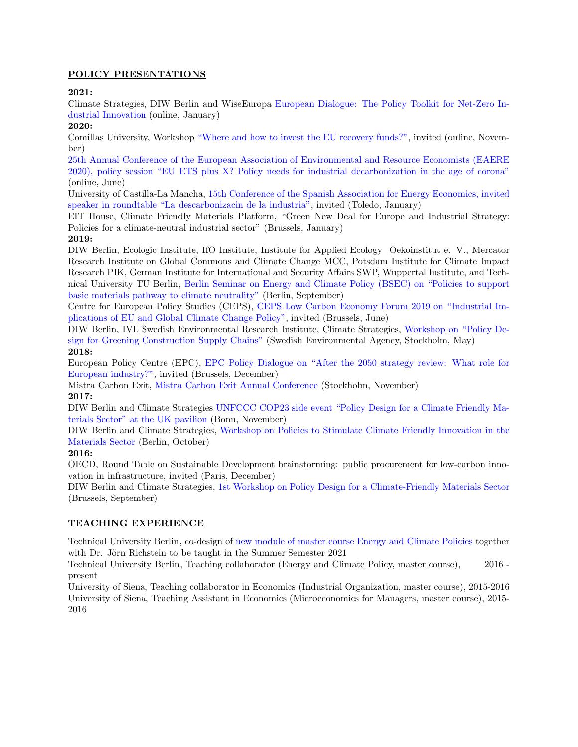# POLICY PRESENTATIONS

# 2021:

Climate Strategies, DIW Berlin and WiseEuropa [European Dialogue: The Policy Toolkit for Net-Zero In](https://climatestrategies.org/european-dialogue-the-policy-toolkit-for-net-zero-industrial-innovation/)[dustrial Innovation](https://climatestrategies.org/european-dialogue-the-policy-toolkit-for-net-zero-industrial-innovation/) (online, January)

# 2020:

Comillas University, Workshop ["Where and how to invest the EU recovery funds?",](https://eventos.comillas.edu/56056/detail/online-worshop_-where-and-how-to-invest-the-eu-recovery-funds.html) invited (online, November)

[25th Annual Conference of the European Association of Environmental and Resource Economists \(EAERE](https://www.diw.de/de/diw_01.c.792659.de/veranstaltungen/eaere_policy_session__eu_ets_plus_x__policy_needs_for_industrial_decarbonisation_in_the_age_of_corona.html) [2020\), policy session "EU ETS plus X? Policy needs for industrial decarbonization in the age of corona"](https://www.diw.de/de/diw_01.c.792659.de/veranstaltungen/eaere_policy_session__eu_ets_plus_x__policy_needs_for_industrial_decarbonisation_in_the_age_of_corona.html) (online, June)

University of Castilla-La Mancha, [15th Conference of the Spanish Association for Energy Economics, invited](http://www.aeee.es/xv_congreso_aeee/en/program/) [speaker in roundtable "La descarbonizacin de la industria",](http://www.aeee.es/xv_congreso_aeee/en/program/) invited (Toledo, January)

EIT House, Climate Friendly Materials Platform, "Green New Deal for Europe and Industrial Strategy: Policies for a climate-neutral industrial sector" (Brussels, January)

# 2019:

DIW Berlin, Ecologic Institute, IfO Institute, Institute for Applied Ecology Oekoinstitut e. V., Mercator Research Institute on Global Commons and Climate Change MCC, Potsdam Institute for Climate Impact Research PIK, German Institute for International and Security Affairs SWP, Wuppertal Institute, and Technical University TU Berlin, [Berlin Seminar on Energy and Climate Policy \(BSEC\) on "Policies to support](https://www.diw.de/de/diw_01.c.683187.de/veranstaltungen/policies_to_support_basic_m...y_to_climate_neutrality.html) [basic materials pathway to climate neutrality"](https://www.diw.de/de/diw_01.c.683187.de/veranstaltungen/policies_to_support_basic_m...y_to_climate_neutrality.html) (Berlin, September)

Centre for European Policy Studies (CEPS), [CEPS Low Carbon Economy Forum 2019 on "Industrial Im](https://www.ceps.eu/ceps-events/ceps-low-carbon-economy-forum-lcef/)[plications of EU and Global Climate Change Policy",](https://www.ceps.eu/ceps-events/ceps-low-carbon-economy-forum-lcef/) invited (Brussels, June)

DIW Berlin, IVL Swedish Environmental Research Institute, Climate Strategies, [Workshop on "Policy De](https://www.diw.de/de/diw_01.c.632788.de/veranstaltungen/climate_friendly_materials_roundtable_on_policy_design_for_greening_construction_supply_chains.html)[sign for Greening Construction Supply Chains"](https://www.diw.de/de/diw_01.c.632788.de/veranstaltungen/climate_friendly_materials_roundtable_on_policy_design_for_greening_construction_supply_chains.html) (Swedish Environmental Agency, Stockholm, May) 2018:

European Policy Centre (EPC), [EPC Policy Dialogue on "After the 2050 strategy review: What role for](https://epc.eu/en/past-events/After-the-2050-strategy-review-What-role-for-European-industry~1e55a0) [European industry?",](https://epc.eu/en/past-events/After-the-2050-strategy-review-What-role-for-European-industry~1e55a0) invited (Brussels, December)

Mistra Carbon Exit, [Mistra Carbon Exit Annual Conference](https://www.mistracarbonexit.com/news/2018/12/4/report-from-the-mistra-carbon-exit-program-conference) (Stockholm, November)

# 2017:

DIW Berlin and Climate Strategies [UNFCCC COP23 side event "Policy Design for a Climate Friendly Ma](https://www.diw.de/de/diw_01.c.603569.de/veranstaltungen/unfccc_side_event_at_cop23_policy_design_for_a_climate_friendly_materials_sector.html)[terials Sector" at the UK pavilion](https://www.diw.de/de/diw_01.c.603569.de/veranstaltungen/unfccc_side_event_at_cop23_policy_design_for_a_climate_friendly_materials_sector.html) (Bonn, November)

DIW Berlin and Climate Strategies, [Workshop on Policies to Stimulate Climate Friendly Innovation in the](https://www.diw.de/de/diw_01.c.603623.de/veranstaltungen/workshop_on_policies_to_stimulate_climate_friendly_innovation_in_the_materials_sector.html) [Materials Sector](https://www.diw.de/de/diw_01.c.603623.de/veranstaltungen/workshop_on_policies_to_stimulate_climate_friendly_innovation_in_the_materials_sector.html) (Berlin, October)

# 2016:

OECD, Round Table on Sustainable Development brainstorming: public procurement for low-carbon innovation in infrastructure, invited (Paris, December)

DIW Berlin and Climate Strategies, [1st Workshop on Policy Design for a Climate-Friendly Materials Sector](https://www.diw.de/de/diw_01.c.604276.de/veranstaltungen/1st_workshop_on_policy_design_for_a_climate_friendly_materials_sector.html) (Brussels, September)

# TEACHING EXPERIENCE

Technical University Berlin, co-design of [new module of master course Energy and Climate Policies](https://www.ecp.tu-berlin.de/menue/studium_und_lehre/parameter/en/) together with Dr. Jörn Richstein to be taught in the Summer Semester 2021

Technical University Berlin, Teaching collaborator (Energy and Climate Policy, master course), 2016 present

University of Siena, Teaching collaborator in Economics (Industrial Organization, master course), 2015-2016 University of Siena, Teaching Assistant in Economics (Microeconomics for Managers, master course), 2015- 2016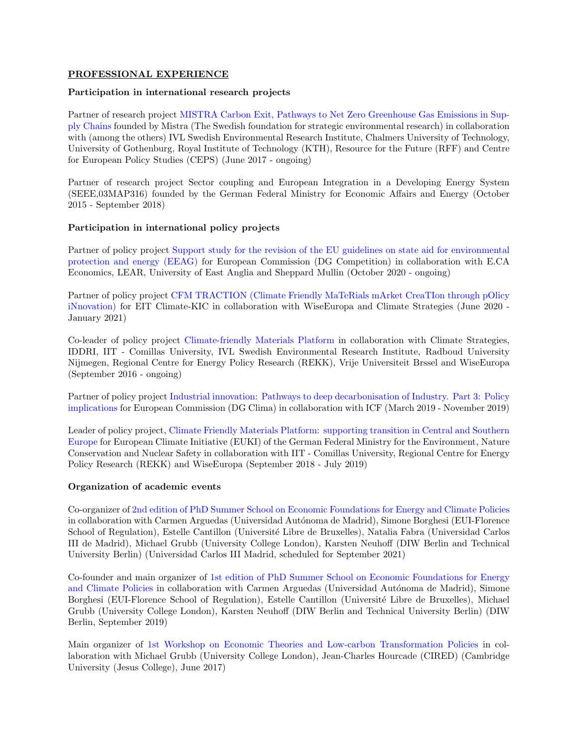#### PROFESSIONAL EXPERIENCE

#### Participation in international research projects

Partner of research project [MISTRA Carbon Exit, Pathways to Net Zero Greenhouse Gas Emissions in Sup](https://www.mistracarbonexit.com/)[ply Chains](https://www.mistracarbonexit.com/) founded by Mistra (The Swedish foundation for strategic environmental research) in collaboration with (among the others) IVL Swedish Environmental Research Institute, Chalmers University of Technology, University of Gothenburg, Royal Institute of Technology (KTH), Resource for the Future (RFF) and Centre for European Policy Studies (CEPS) (June 2017 - ongoing)

Partner of research project Sector coupling and European Integration in a Developing Energy System (SEEE,03MAP316) founded by the German Federal Ministry for Economic Affairs and Energy (October 2015 - September 2018)

#### Participation in international policy projects

Partner of policy project [Support study for the revision of the EU guidelines on state aid for environmental](https://www.diw.de/en/diw_01.c.801475.en/projects/support_study_for_the_revision_of_the_eu_guidelines_on_state_aid_for_environmental_protection_and_energy__eeag.html) [protection and energy \(EEAG\)](https://www.diw.de/en/diw_01.c.801475.en/projects/support_study_for_the_revision_of_the_eu_guidelines_on_state_aid_for_environmental_protection_and_energy__eeag.html) for European Commission (DG Competition) in collaboration with E.CA Economics, LEAR, University of East Anglia and Sheppard Mullin (October 2020 - ongoing)

Partner of policy project [CFM TRACTION \(Climate Friendly MaTeRials mArket CreaTIon through pOlicy](https://climatestrategies.org/projects/cfmtraction/) [iNnovation\)](https://climatestrategies.org/projects/cfmtraction/) for EIT Climate-KIC in collaboration with WiseEuropa and Climate Strategies (June 2020 - January 2021)

Co-leader of policy project [Climate-friendly Materials Platform](https://www.diw.de/en/diw_01.c.551309.en/projects/climate_friendly_materials_platform.html) in collaboration with Climate Strategies, IDDRI, IIT - Comillas University, IVL Swedish Environmental Research Institute, Radboud University Nijmegen, Regional Centre for Energy Policy Research (REKK), Vrije Universiteit Brssel and WiseEuropa (September 2016 - ongoing)

Partner of policy project [Industrial innovation: Pathways to deep decarbonisation of Industry. Part 3: Policy](https://ec.europa.eu/clima/sites/clima/files/strategies/2050/docs/industrial_innovation_part_3_en.pdf) [implications](https://ec.europa.eu/clima/sites/clima/files/strategies/2050/docs/industrial_innovation_part_3_en.pdf) for European Commission (DG Clima) in collaboration with ICF (March 2019 - November 2019)

Leader of policy project, [Climate Friendly Materials Platform: supporting transition in Central and Southern](https://www.euki.de/en/euki-projects/climate-friendly-materials-platform/) [Europe](https://www.euki.de/en/euki-projects/climate-friendly-materials-platform/) for European Climate Initiative (EUKI) of the German Federal Ministry for the Environment, Nature Conservation and Nuclear Safety in collaboration with IIT - Comillas University, Regional Centre for Energy Policy Research (REKK) and WiseEuropa (September 2018 - July 2019)

#### Organization of academic events

Co-organizer of [2nd edition of PhD Summer School on Economic Foundations for Energy and Climate Policies](http://energyecolab.uc3m.es/call-for-applications-2nd-phd-summer-school-on-economic-foundations-for-energy-and-climate-policies/) in collaboration with Carmen Arguedas (Universidad Autónoma de Madrid), Simone Borghesi (EUI-Florence School of Regulation), Estelle Cantillon (Université Libre de Bruxelles), Natalia Fabra (Universidad Carlos III de Madrid), Michael Grubb (University College London), Karsten Neuhoff (DIW Berlin and Technical University Berlin) (Universidad Carlos III Madrid, scheduled for September 2021)

Co-founder and main organizer of [1st edition of PhD Summer School on Economic Foundations for Energy](https://www.diw.de/sixcms/detail.php?id=diw_01.c.614660.en) [and Climate Policies](https://www.diw.de/sixcms/detail.php?id=diw_01.c.614660.en) in collaboration with Carmen Arguedas (Universidad Autónoma de Madrid), Simone Borghesi (EUI-Florence School of Regulation), Estelle Cantillon (Université Libre de Bruxelles), Michael Grubb (University College London), Karsten Neuhoff (DIW Berlin and Technical University Berlin) (DIW Berlin, September 2019)

Main organizer of [1st Workshop on Economic Theories and Low-carbon Transformation Policies](https://www.diw.de/en/diw_01.c.560126.en/events/1st_workshop_economic_theories_and_low_carbon_transformation_policies.html) in collaboration with Michael Grubb (University College London), Jean-Charles Hourcade (CIRED) (Cambridge University (Jesus College), June 2017)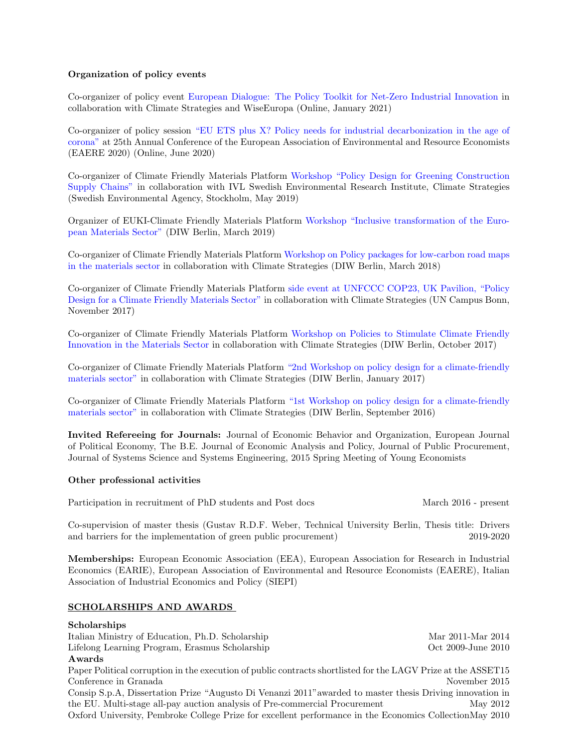#### Organization of policy events

Co-organizer of policy event [European Dialogue: The Policy Toolkit for Net-Zero Industrial Innovation](https://climatestrategies.org/european-dialogue-the-policy-toolkit-for-net-zero-industrial-innovation/) in collaboration with Climate Strategies and WiseEuropa (Online, January 2021)

Co-organizer of policy session ["EU ETS plus X? Policy needs for industrial decarbonization in the age of](https://www.diw.de/de/diw_01.c.792659.de/veranstaltungen/eaere_policy_session__eu_ets_plus_x__policy_needs_for_industrial_decarbonisation_in_the_age_of_corona.html) [corona"](https://www.diw.de/de/diw_01.c.792659.de/veranstaltungen/eaere_policy_session__eu_ets_plus_x__policy_needs_for_industrial_decarbonisation_in_the_age_of_corona.html) at 25th Annual Conference of the European Association of Environmental and Resource Economists (EAERE 2020) (Online, June 2020)

Co-organizer of Climate Friendly Materials Platform [Workshop "Policy Design for Greening Construction](https://www.diw.de/de/diw_01.c.632788.de/veranstaltungen/climate_friendly_materials_roundtable_on_policy_design_for_greening_construction_supply_chains.html) [Supply Chains"](https://www.diw.de/de/diw_01.c.632788.de/veranstaltungen/climate_friendly_materials_roundtable_on_policy_design_for_greening_construction_supply_chains.html) in collaboration with IVL Swedish Environmental Research Institute, Climate Strategies (Swedish Environmental Agency, Stockholm, May 2019)

Organizer of EUKI-Climate Friendly Materials Platform [Workshop "Inclusive transformation of the Euro](https://www.diw.de/de/diw_01.c.626609.de/veranstaltungen/climate_friendly_materials_roundtable_on_inclusive_transformation_of_the_european_materials_sector.html)[pean Materials Sector"](https://www.diw.de/de/diw_01.c.626609.de/veranstaltungen/climate_friendly_materials_roundtable_on_inclusive_transformation_of_the_european_materials_sector.html) (DIW Berlin, March 2019)

Co-organizer of Climate Friendly Materials Platform [Workshop on Policy packages for low-carbon road maps](https://www.diw.de/de/diw_01.c.603522.de/veranstaltungen/workshop_on_policy_packages_for_low_carbon_road_maps_in_the_materials_sector.html) [in the materials sector](https://www.diw.de/de/diw_01.c.603522.de/veranstaltungen/workshop_on_policy_packages_for_low_carbon_road_maps_in_the_materials_sector.html) in collaboration with Climate Strategies (DIW Berlin, March 2018)

Co-organizer of Climate Friendly Materials Platform [side event at UNFCCC COP23, UK Pavilion, "Policy](https://www.diw.de/de/diw_01.c.603569.de/veranstaltungen/unfccc_side_event_at_cop23_policy_design_for_a_climate_friendly_materials_sector.html) [Design for a Climate Friendly Materials Sector"](https://www.diw.de/de/diw_01.c.603569.de/veranstaltungen/unfccc_side_event_at_cop23_policy_design_for_a_climate_friendly_materials_sector.html) in collaboration with Climate Strategies (UN Campus Bonn, November 2017)

Co-organizer of Climate Friendly Materials Platform [Workshop on Policies to Stimulate Climate Friendly](https://www.diw.de/de/diw_01.c.603623.de/veranstaltungen/workshop_on_policies_to_stimulate_climate_friendly_innovation_in_the_materials_sector.html) [Innovation in the Materials Sector](https://www.diw.de/de/diw_01.c.603623.de/veranstaltungen/workshop_on_policies_to_stimulate_climate_friendly_innovation_in_the_materials_sector.html) in collaboration with Climate Strategies (DIW Berlin, October 2017)

Co-organizer of Climate Friendly Materials Platform ["2nd Workshop on policy design for a climate-friendly](https://www.diw.de/de/diw_01.c.603636.de/veranstaltungen/2nd_workshop_on_policy_design_for_a_climate_friendly_materials_sector.html) [materials sector"](https://www.diw.de/de/diw_01.c.603636.de/veranstaltungen/2nd_workshop_on_policy_design_for_a_climate_friendly_materials_sector.html) in collaboration with Climate Strategies (DIW Berlin, January 2017)

Co-organizer of Climate Friendly Materials Platform ["1st Workshop on policy design for a climate-friendly](https://www.diw.de/de/diw_01.c.604276.de/veranstaltungen/1st_workshop_on_policy_design_for_a_climate_friendly_materials_sector.html) [materials sector"](https://www.diw.de/de/diw_01.c.604276.de/veranstaltungen/1st_workshop_on_policy_design_for_a_climate_friendly_materials_sector.html) in collaboration with Climate Strategies (DIW Berlin, September 2016)

Invited Refereeing for Journals: Journal of Economic Behavior and Organization, European Journal of Political Economy, The B.E. Journal of Economic Analysis and Policy, Journal of Public Procurement, Journal of Systems Science and Systems Engineering, 2015 Spring Meeting of Young Economists

# Other professional activities

Participation in recruitment of PhD students and Post docs March 2016 - present

Co-supervision of master thesis (Gustav R.D.F. Weber, Technical University Berlin, Thesis title: Drivers and barriers for the implementation of green public procurement) 2019-2020

Memberships: European Economic Association (EEA), European Association for Research in Industrial Economics (EARIE), European Association of Environmental and Resource Economists (EAERE), Italian Association of Industrial Economics and Policy (SIEPI)

# SCHOLARSHIPS AND AWARDS

Italian Ministry of Education, Ph.D. Scholarship Mar 2011-Mar 2014 Lifelong Learning Program, Erasmus Scholarship Oct 2009-June 2010

# Awards

Paper Political corruption in the execution of public contracts shortlisted for the LAGV Prize at the ASSET15 Conference in Granada November 2015 Consip S.p.A, Dissertation Prize "Augusto Di Venanzi 2011"awarded to master thesis Driving innovation in the EU. Multi-stage all-pay auction analysis of Pre-commercial Procurement May 2012

Oxford University, Pembroke College Prize for excellent performance in the Economics CollectionMay 2010